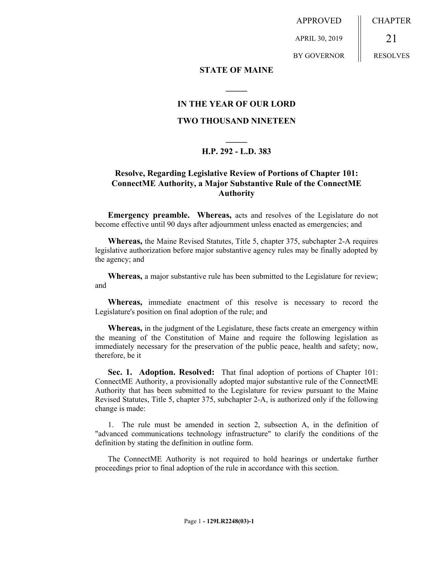APPROVED

APRIL 30, 2019

BY GOVERNOR

21 RESOLVES

**CHAPTER** 

#### **STATE OF MAINE**

## **IN THE YEAR OF OUR LORD**

**\_\_\_\_\_**

#### **TWO THOUSAND NINETEEN**

# **\_\_\_\_\_ H.P. 292 - L.D. 383**

## **Resolve, Regarding Legislative Review of Portions of Chapter 101: ConnectME Authority, a Major Substantive Rule of the ConnectME Authority**

**Emergency preamble. Whereas,** acts and resolves of the Legislature do not become effective until 90 days after adjournment unless enacted as emergencies; and

**Whereas,** the Maine Revised Statutes, Title 5, chapter 375, subchapter 2-A requires legislative authorization before major substantive agency rules may be finally adopted by the agency; and

**Whereas,** a major substantive rule has been submitted to the Legislature for review; and

**Whereas,** immediate enactment of this resolve is necessary to record the Legislature's position on final adoption of the rule; and

**Whereas,** in the judgment of the Legislature, these facts create an emergency within the meaning of the Constitution of Maine and require the following legislation as immediately necessary for the preservation of the public peace, health and safety; now, therefore, be it

Sec. 1. Adoption. Resolved: That final adoption of portions of Chapter 101: ConnectME Authority, a provisionally adopted major substantive rule of the ConnectME Authority that has been submitted to the Legislature for review pursuant to the Maine Revised Statutes, Title 5, chapter 375, subchapter 2-A, is authorized only if the following change is made:

1. The rule must be amended in section 2, subsection A, in the definition of "advanced communications technology infrastructure" to clarify the conditions of the definition by stating the definition in outline form.

The ConnectME Authority is not required to hold hearings or undertake further proceedings prior to final adoption of the rule in accordance with this section.